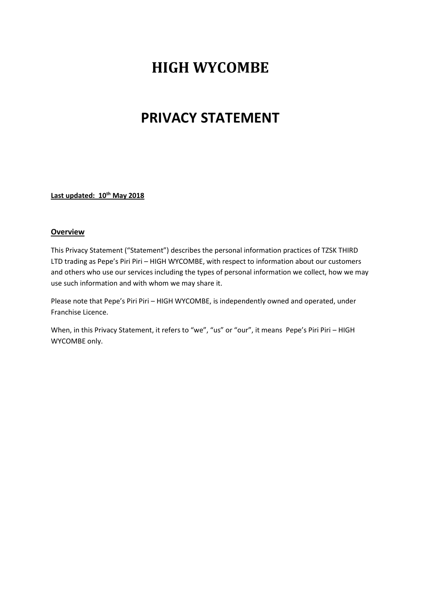# **HIGH WYCOMBE**

## **PRIVACY STATEMENT**

**Last updated: 10th May 2018**

#### **Overview**

This Privacy Statement ("Statement") describes the personal information practices of TZSK THIRD LTD trading as Pepe's Piri Piri – HIGH WYCOMBE, with respect to information about our customers and others who use our services including the types of personal information we collect, how we may use such information and with whom we may share it.

Please note that Pepe's Piri Piri – HIGH WYCOMBE, is independently owned and operated, under Franchise Licence.

When, in this Privacy Statement, it refers to "we", "us" or "our", it means Pepe's Piri Piri – HIGH WYCOMBE only.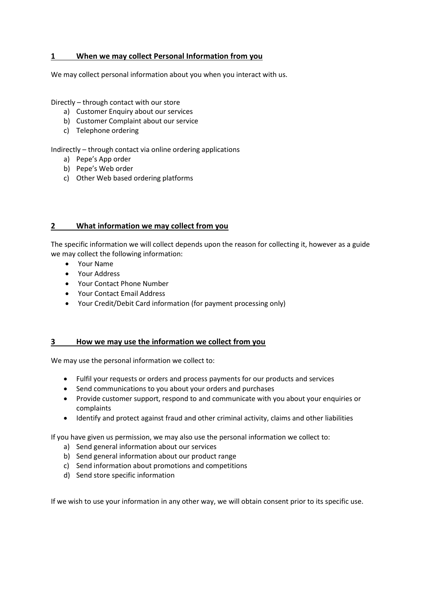## **1 When we may collect Personal Information from you**

We may collect personal information about you when you interact with us.

Directly – through contact with our store

- a) Customer Enquiry about our services
- b) Customer Complaint about our service
- c) Telephone ordering

Indirectly – through contact via online ordering applications

- a) Pepe's App order
- b) Pepe's Web order
- c) Other Web based ordering platforms

## **2 What information we may collect from you**

The specific information we will collect depends upon the reason for collecting it, however as a guide we may collect the following information:

- Your Name
- Your Address
- Your Contact Phone Number
- Your Contact Email Address
- Your Credit/Debit Card information (for payment processing only)

## **3 How we may use the information we collect from you**

We may use the personal information we collect to:

- Fulfil your requests or orders and process payments for our products and services
- Send communications to you about your orders and purchases
- Provide customer support, respond to and communicate with you about your enquiries or complaints
- Identify and protect against fraud and other criminal activity, claims and other liabilities

If you have given us permission, we may also use the personal information we collect to:

- a) Send general information about our services
- b) Send general information about our product range
- c) Send information about promotions and competitions
- d) Send store specific information

If we wish to use your information in any other way, we will obtain consent prior to its specific use.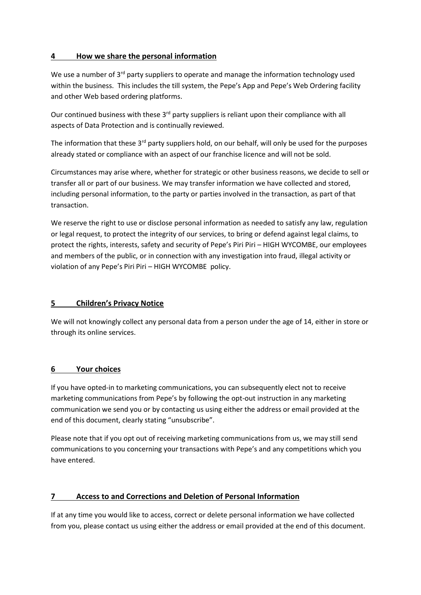## **4 How we share the personal information**

We use a number of  $3^{rd}$  party suppliers to operate and manage the information technology used within the business. This includes the till system, the Pepe's App and Pepe's Web Ordering facility and other Web based ordering platforms.

Our continued business with these 3<sup>rd</sup> party suppliers is reliant upon their compliance with all aspects of Data Protection and is continually reviewed.

The information that these  $3<sup>rd</sup>$  party suppliers hold, on our behalf, will only be used for the purposes already stated or compliance with an aspect of our franchise licence and will not be sold.

Circumstances may arise where, whether for strategic or other business reasons, we decide to sell or transfer all or part of our business. We may transfer information we have collected and stored, including personal information, to the party or parties involved in the transaction, as part of that transaction.

We reserve the right to use or disclose personal information as needed to satisfy any law, regulation or legal request, to protect the integrity of our services, to bring or defend against legal claims, to protect the rights, interests, safety and security of Pepe's Piri Piri – HIGH WYCOMBE, our employees and members of the public, or in connection with any investigation into fraud, illegal activity or violation of any Pepe's Piri Piri – HIGH WYCOMBE policy.

## **5 Children's Privacy Notice**

We will not knowingly collect any personal data from a person under the age of 14, either in store or through its online services.

## **6 Your choices**

If you have opted-in to marketing communications, you can subsequently elect not to receive marketing communications from Pepe's by following the opt-out instruction in any marketing communication we send you or by contacting us using either the address or email provided at the end of this document, clearly stating "unsubscribe".

Please note that if you opt out of receiving marketing communications from us, we may still send communications to you concerning your transactions with Pepe's and any competitions which you have entered.

## **7 Access to and Corrections and Deletion of Personal Information**

If at any time you would like to access, correct or delete personal information we have collected from you, please contact us using either the address or email provided at the end of this document.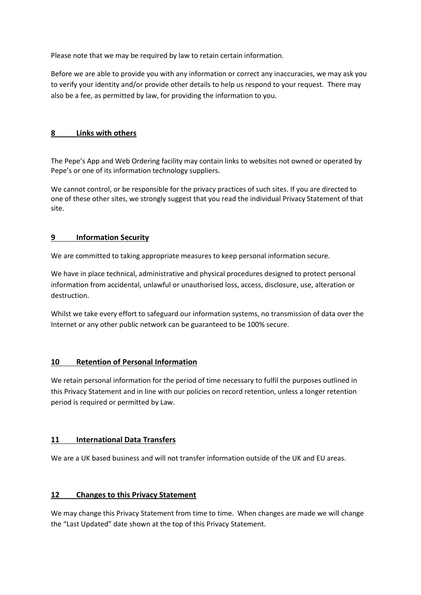Please note that we may be required by law to retain certain information.

Before we are able to provide you with any information or correct any inaccuracies, we may ask you to verify your identity and/or provide other details to help us respond to your request. There may also be a fee, as permitted by law, for providing the information to you.

## **8 Links with others**

The Pepe's App and Web Ordering facility may contain links to websites not owned or operated by Pepe's or one of its information technology suppliers.

We cannot control, or be responsible for the privacy practices of such sites. If you are directed to one of these other sites, we strongly suggest that you read the individual Privacy Statement of that site.

## **9 Information Security**

We are committed to taking appropriate measures to keep personal information secure.

We have in place technical, administrative and physical procedures designed to protect personal information from accidental, unlawful or unauthorised loss, access, disclosure, use, alteration or destruction.

Whilst we take every effort to safeguard our information systems, no transmission of data over the Internet or any other public network can be guaranteed to be 100% secure.

## **10 Retention of Personal Information**

We retain personal information for the period of time necessary to fulfil the purposes outlined in this Privacy Statement and in line with our policies on record retention, unless a longer retention period is required or permitted by Law.

## **11 International Data Transfers**

We are a UK based business and will not transfer information outside of the UK and EU areas.

#### **12 Changes to this Privacy Statement**

We may change this Privacy Statement from time to time. When changes are made we will change the "Last Updated" date shown at the top of this Privacy Statement.